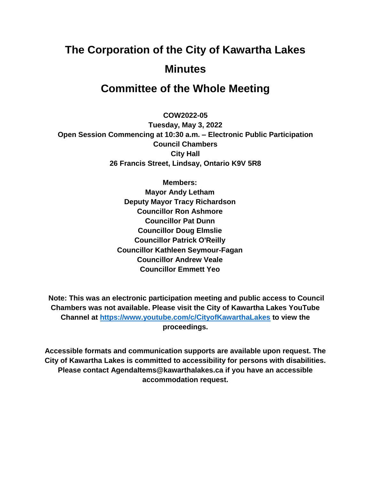# **The Corporation of the City of Kawartha Lakes Minutes**

# **Committee of the Whole Meeting**

**COW2022-05**

**Tuesday, May 3, 2022 Open Session Commencing at 10:30 a.m. – Electronic Public Participation Council Chambers City Hall 26 Francis Street, Lindsay, Ontario K9V 5R8**

> **Members: Mayor Andy Letham Deputy Mayor Tracy Richardson Councillor Ron Ashmore Councillor Pat Dunn Councillor Doug Elmslie Councillor Patrick O'Reilly Councillor Kathleen Seymour-Fagan Councillor Andrew Veale Councillor Emmett Yeo**

**Note: This was an electronic participation meeting and public access to Council Chambers was not available. Please visit the City of Kawartha Lakes YouTube Channel at<https://www.youtube.com/c/CityofKawarthaLakes> to view the proceedings.**

**Accessible formats and communication supports are available upon request. The City of Kawartha Lakes is committed to accessibility for persons with disabilities. Please contact AgendaItems@kawarthalakes.ca if you have an accessible accommodation request.**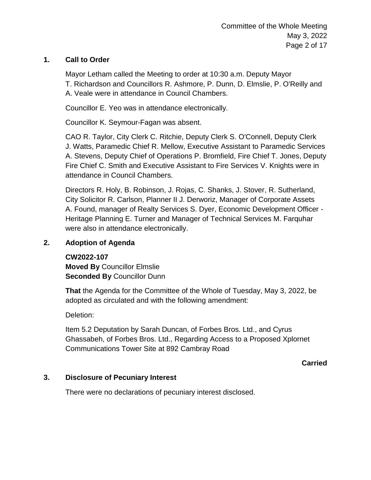# **1. Call to Order**

Mayor Letham called the Meeting to order at 10:30 a.m. Deputy Mayor T. Richardson and Councillors R. Ashmore, P. Dunn, D. Elmslie, P. O'Reilly and A. Veale were in attendance in Council Chambers.

Councillor E. Yeo was in attendance electronically.

Councillor K. Seymour-Fagan was absent.

CAO R. Taylor, City Clerk C. Ritchie, Deputy Clerk S. O'Connell, Deputy Clerk J. Watts, Paramedic Chief R. Mellow, Executive Assistant to Paramedic Services A. Stevens, Deputy Chief of Operations P. Bromfield, Fire Chief T. Jones, Deputy Fire Chief C. Smith and Executive Assistant to Fire Services V. Knights were in attendance in Council Chambers.

Directors R. Holy, B. Robinson, J. Rojas, C. Shanks, J. Stover, R. Sutherland, City Solicitor R. Carlson, Planner II J. Derworiz, Manager of Corporate Assets A. Found, manager of Realty Services S. Dyer, Economic Development Officer - Heritage Planning E. Turner and Manager of Technical Services M. Farquhar were also in attendance electronically.

# **2. Adoption of Agenda**

# **CW2022-107**

**Moved By** Councillor Elmslie **Seconded By** Councillor Dunn

**That** the Agenda for the Committee of the Whole of Tuesday, May 3, 2022, be adopted as circulated and with the following amendment:

Deletion:

Item 5.2 Deputation by Sarah Duncan, of Forbes Bros. Ltd., and Cyrus Ghassabeh, of Forbes Bros. Ltd., Regarding Access to a Proposed Xplornet Communications Tower Site at 892 Cambray Road

**Carried**

# **3. Disclosure of Pecuniary Interest**

There were no declarations of pecuniary interest disclosed.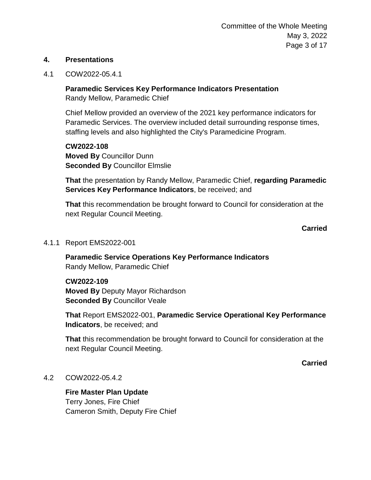#### **4. Presentations**

4.1 COW2022-05.4.1

**Paramedic Services Key Performance Indicators Presentation** Randy Mellow, Paramedic Chief

Chief Mellow provided an overview of the 2021 key performance indicators for Paramedic Services. The overview included detail surrounding response times, staffing levels and also highlighted the City's Paramedicine Program.

**CW2022-108 Moved By** Councillor Dunn **Seconded By** Councillor Elmslie

**That** the presentation by Randy Mellow, Paramedic Chief, **regarding Paramedic Services Key Performance Indicators**, be received; and

**That** this recommendation be brought forward to Council for consideration at the next Regular Council Meeting.

#### **Carried**

4.1.1 Report EMS2022-001

**Paramedic Service Operations Key Performance Indicators** Randy Mellow, Paramedic Chief

#### **CW2022-109**

**Moved By** Deputy Mayor Richardson **Seconded By** Councillor Veale

**That** Report EMS2022-001, **Paramedic Service Operational Key Performance Indicators**, be received; and

**That** this recommendation be brought forward to Council for consideration at the next Regular Council Meeting.

**Carried**

4.2 COW2022-05.4.2

**Fire Master Plan Update** Terry Jones, Fire Chief Cameron Smith, Deputy Fire Chief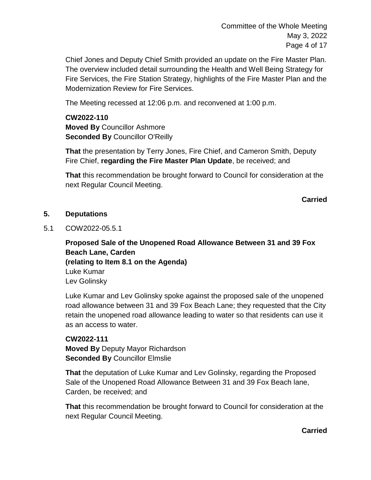Committee of the Whole Meeting May 3, 2022 Page 4 of 17

Chief Jones and Deputy Chief Smith provided an update on the Fire Master Plan. The overview included detail surrounding the Health and Well Being Strategy for Fire Services, the Fire Station Strategy, highlights of the Fire Master Plan and the Modernization Review for Fire Services.

The Meeting recessed at 12:06 p.m. and reconvened at 1:00 p.m.

**CW2022-110 Moved By** Councillor Ashmore **Seconded By** Councillor O'Reilly

**That** the presentation by Terry Jones, Fire Chief, and Cameron Smith, Deputy Fire Chief, **regarding the Fire Master Plan Update**, be received; and

**That** this recommendation be brought forward to Council for consideration at the next Regular Council Meeting.

**Carried**

# **5. Deputations**

5.1 COW2022-05.5.1

**Proposed Sale of the Unopened Road Allowance Between 31 and 39 Fox Beach Lane, Carden (relating to Item 8.1 on the Agenda)** Luke Kumar Lev Golinsky

Luke Kumar and Lev Golinsky spoke against the proposed sale of the unopened road allowance between 31 and 39 Fox Beach Lane; they requested that the City retain the unopened road allowance leading to water so that residents can use it as an access to water.

**CW2022-111 Moved By** Deputy Mayor Richardson **Seconded By** Councillor Elmslie

**That** the deputation of Luke Kumar and Lev Golinsky, regarding the Proposed Sale of the Unopened Road Allowance Between 31 and 39 Fox Beach lane, Carden, be received; and

**That** this recommendation be brought forward to Council for consideration at the next Regular Council Meeting.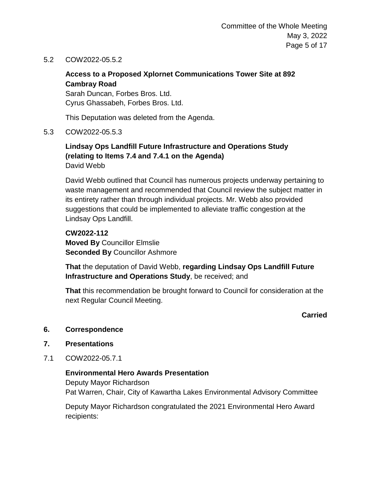5.2 COW2022-05.5.2

# **Access to a Proposed Xplornet Communications Tower Site at 892 Cambray Road**

Sarah Duncan, Forbes Bros. Ltd. Cyrus Ghassabeh, Forbes Bros. Ltd.

This Deputation was deleted from the Agenda.

5.3 COW2022-05.5.3

# **Lindsay Ops Landfill Future Infrastructure and Operations Study (relating to Items 7.4 and 7.4.1 on the Agenda)** David Webb

David Webb outlined that Council has numerous projects underway pertaining to waste management and recommended that Council review the subject matter in its entirety rather than through individual projects. Mr. Webb also provided suggestions that could be implemented to alleviate traffic congestion at the Lindsay Ops Landfill.

**CW2022-112 Moved By** Councillor Elmslie **Seconded By** Councillor Ashmore

**That** the deputation of David Webb, **regarding Lindsay Ops Landfill Future Infrastructure and Operations Study**, be received; and

**That** this recommendation be brought forward to Council for consideration at the next Regular Council Meeting.

# **Carried**

# **6. Correspondence**

- **7. Presentations**
- 7.1 COW2022-05.7.1

# **Environmental Hero Awards Presentation**

Deputy Mayor Richardson Pat Warren, Chair, City of Kawartha Lakes Environmental Advisory Committee

Deputy Mayor Richardson congratulated the 2021 Environmental Hero Award recipients: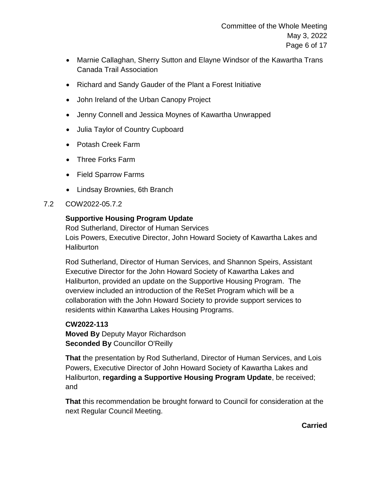- Marnie Callaghan, Sherry Sutton and Elayne Windsor of the Kawartha Trans Canada Trail Association
- Richard and Sandy Gauder of the Plant a Forest Initiative
- John Ireland of the Urban Canopy Project
- Jenny Connell and Jessica Moynes of Kawartha Unwrapped
- Julia Taylor of Country Cupboard
- Potash Creek Farm
- Three Forks Farm
- Field Sparrow Farms
- Lindsay Brownies, 6th Branch
- 7.2 COW2022-05.7.2

# **Supportive Housing Program Update**

Rod Sutherland, Director of Human Services Lois Powers, Executive Director, John Howard Society of Kawartha Lakes and **Haliburton** 

Rod Sutherland, Director of Human Services, and Shannon Speirs, Assistant Executive Director for the John Howard Society of Kawartha Lakes and Haliburton, provided an update on the Supportive Housing Program. The overview included an introduction of the ReSet Program which will be a collaboration with the John Howard Society to provide support services to residents within Kawartha Lakes Housing Programs.

**CW2022-113 Moved By** Deputy Mayor Richardson **Seconded By** Councillor O'Reilly

**That** the presentation by Rod Sutherland, Director of Human Services, and Lois Powers, Executive Director of John Howard Society of Kawartha Lakes and Haliburton, **regarding a Supportive Housing Program Update**, be received; and

**That** this recommendation be brought forward to Council for consideration at the next Regular Council Meeting.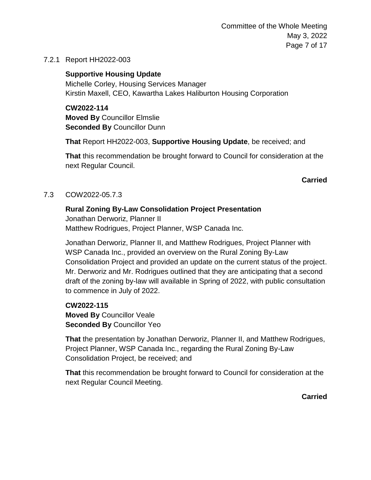Committee of the Whole Meeting May 3, 2022 Page 7 of 17

7.2.1 Report HH2022-003

**Supportive Housing Update** Michelle Corley, Housing Services Manager Kirstin Maxell, CEO, Kawartha Lakes Haliburton Housing Corporation

**CW2022-114 Moved By** Councillor Elmslie **Seconded By** Councillor Dunn

**That** Report HH2022-003, **Supportive Housing Update**, be received; and

**That** this recommendation be brought forward to Council for consideration at the next Regular Council.

**Carried**

# 7.3 COW2022-05.7.3

# **Rural Zoning By-Law Consolidation Project Presentation**

Jonathan Derworiz, Planner II Matthew Rodrigues, Project Planner, WSP Canada Inc.

Jonathan Derworiz, Planner II, and Matthew Rodrigues, Project Planner with WSP Canada Inc., provided an overview on the Rural Zoning By-Law Consolidation Project and provided an update on the current status of the project. Mr. Derworiz and Mr. Rodrigues outlined that they are anticipating that a second draft of the zoning by-law will available in Spring of 2022, with public consultation to commence in July of 2022.

**CW2022-115 Moved By** Councillor Veale **Seconded By** Councillor Yeo

**That** the presentation by Jonathan Derworiz, Planner II, and Matthew Rodrigues, Project Planner, WSP Canada Inc., regarding the Rural Zoning By-Law Consolidation Project, be received; and

**That** this recommendation be brought forward to Council for consideration at the next Regular Council Meeting.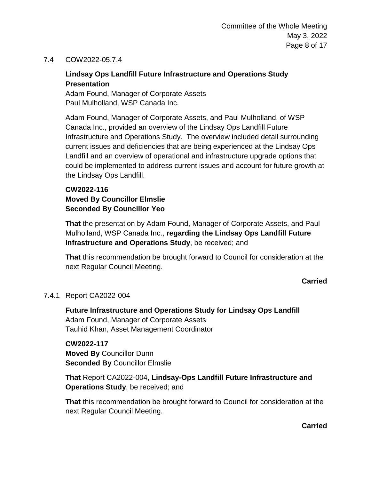# 7.4 COW2022-05.7.4

# **Lindsay Ops Landfill Future Infrastructure and Operations Study Presentation**

Adam Found, Manager of Corporate Assets Paul Mulholland, WSP Canada Inc.

Adam Found, Manager of Corporate Assets, and Paul Mulholland, of WSP Canada Inc., provided an overview of the Lindsay Ops Landfill Future Infrastructure and Operations Study. The overview included detail surrounding current issues and deficiencies that are being experienced at the Lindsay Ops Landfill and an overview of operational and infrastructure upgrade options that could be implemented to address current issues and account for future growth at the Lindsay Ops Landfill.

# **CW2022-116 Moved By Councillor Elmslie Seconded By Councillor Yeo**

**That** the presentation by Adam Found, Manager of Corporate Assets, and Paul Mulholland, WSP Canada Inc., **regarding the Lindsay Ops Landfill Future Infrastructure and Operations Study**, be received; and

**That** this recommendation be brought forward to Council for consideration at the next Regular Council Meeting.

#### **Carried**

# 7.4.1 Report CA2022-004

**Future Infrastructure and Operations Study for Lindsay Ops Landfill** Adam Found, Manager of Corporate Assets Tauhid Khan, Asset Management Coordinator

**CW2022-117 Moved By** Councillor Dunn **Seconded By** Councillor Elmslie

**That** Report CA2022-004, **Lindsay-Ops Landfill Future Infrastructure and Operations Study**, be received; and

**That** this recommendation be brought forward to Council for consideration at the next Regular Council Meeting.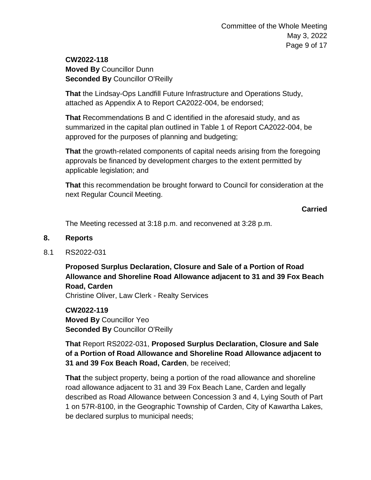# **CW2022-118 Moved By** Councillor Dunn **Seconded By** Councillor O'Reilly

**That** the Lindsay-Ops Landfill Future Infrastructure and Operations Study, attached as Appendix A to Report CA2022-004, be endorsed;

**That** Recommendations B and C identified in the aforesaid study, and as summarized in the capital plan outlined in Table 1 of Report CA2022-004, be approved for the purposes of planning and budgeting;

**That** the growth-related components of capital needs arising from the foregoing approvals be financed by development charges to the extent permitted by applicable legislation; and

**That** this recommendation be brought forward to Council for consideration at the next Regular Council Meeting.

**Carried**

The Meeting recessed at 3:18 p.m. and reconvened at 3:28 p.m.

# **8. Reports**

8.1 RS2022-031

**Proposed Surplus Declaration, Closure and Sale of a Portion of Road Allowance and Shoreline Road Allowance adjacent to 31 and 39 Fox Beach Road, Carden** Christine Oliver, Law Clerk - Realty Services

**CW2022-119 Moved By** Councillor Yeo **Seconded By** Councillor O'Reilly

**That** Report RS2022-031, **Proposed Surplus Declaration, Closure and Sale of a Portion of Road Allowance and Shoreline Road Allowance adjacent to 31 and 39 Fox Beach Road, Carden**, be received;

**That** the subject property, being a portion of the road allowance and shoreline road allowance adjacent to 31 and 39 Fox Beach Lane, Carden and legally described as Road Allowance between Concession 3 and 4, Lying South of Part 1 on 57R-8100, in the Geographic Township of Carden, City of Kawartha Lakes, be declared surplus to municipal needs;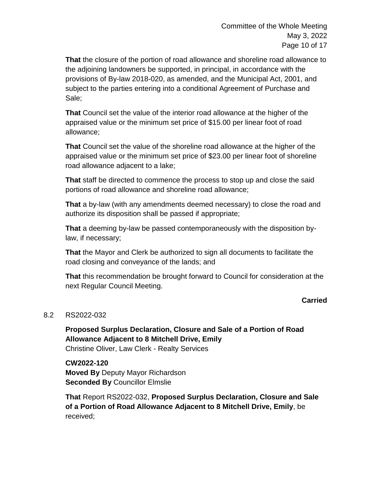Committee of the Whole Meeting May 3, 2022 Page 10 of 17

**That** the closure of the portion of road allowance and shoreline road allowance to the adjoining landowners be supported, in principal, in accordance with the provisions of By-law 2018-020, as amended, and the Municipal Act, 2001, and subject to the parties entering into a conditional Agreement of Purchase and Sale;

**That** Council set the value of the interior road allowance at the higher of the appraised value or the minimum set price of \$15.00 per linear foot of road allowance;

**That** Council set the value of the shoreline road allowance at the higher of the appraised value or the minimum set price of \$23.00 per linear foot of shoreline road allowance adjacent to a lake;

**That** staff be directed to commence the process to stop up and close the said portions of road allowance and shoreline road allowance;

**That** a by-law (with any amendments deemed necessary) to close the road and authorize its disposition shall be passed if appropriate;

**That** a deeming by-law be passed contemporaneously with the disposition bylaw, if necessary;

**That** the Mayor and Clerk be authorized to sign all documents to facilitate the road closing and conveyance of the lands; and

**That** this recommendation be brought forward to Council for consideration at the next Regular Council Meeting.

# **Carried**

#### 8.2 RS2022-032

**Proposed Surplus Declaration, Closure and Sale of a Portion of Road Allowance Adjacent to 8 Mitchell Drive, Emily** Christine Oliver, Law Clerk - Realty Services

**CW2022-120 Moved By** Deputy Mayor Richardson **Seconded By** Councillor Elmslie

**That** Report RS2022-032, **Proposed Surplus Declaration, Closure and Sale of a Portion of Road Allowance Adjacent to 8 Mitchell Drive, Emily**, be received;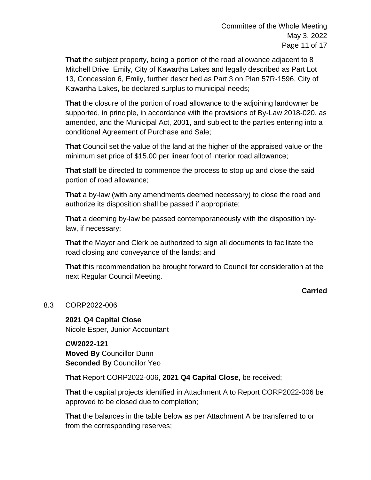**That** the subject property, being a portion of the road allowance adjacent to 8 Mitchell Drive, Emily, City of Kawartha Lakes and legally described as Part Lot 13, Concession 6, Emily, further described as Part 3 on Plan 57R-1596, City of Kawartha Lakes, be declared surplus to municipal needs;

**That** the closure of the portion of road allowance to the adjoining landowner be supported, in principle, in accordance with the provisions of By-Law 2018-020, as amended, and the Municipal Act, 2001, and subject to the parties entering into a conditional Agreement of Purchase and Sale;

**That** Council set the value of the land at the higher of the appraised value or the minimum set price of \$15.00 per linear foot of interior road allowance;

**That** staff be directed to commence the process to stop up and close the said portion of road allowance;

**That** a by-law (with any amendments deemed necessary) to close the road and authorize its disposition shall be passed if appropriate;

**That** a deeming by-law be passed contemporaneously with the disposition bylaw, if necessary;

**That** the Mayor and Clerk be authorized to sign all documents to facilitate the road closing and conveyance of the lands; and

**That** this recommendation be brought forward to Council for consideration at the next Regular Council Meeting.

# **Carried**

# 8.3 CORP2022-006

**2021 Q4 Capital Close** Nicole Esper, Junior Accountant

**CW2022-121 Moved By** Councillor Dunn **Seconded By** Councillor Yeo

**That** Report CORP2022-006, **2021 Q4 Capital Close**, be received;

**That** the capital projects identified in Attachment A to Report CORP2022-006 be approved to be closed due to completion;

**That** the balances in the table below as per Attachment A be transferred to or from the corresponding reserves;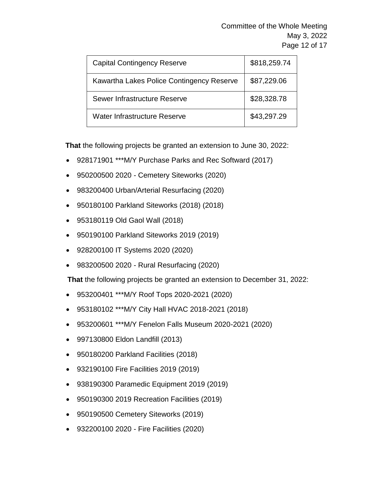Committee of the Whole Meeting May 3, 2022 Page 12 of 17

| <b>Capital Contingency Reserve</b>        | \$818,259.74 |
|-------------------------------------------|--------------|
| Kawartha Lakes Police Contingency Reserve | \$87,229.06  |
| Sewer Infrastructure Reserve              | \$28,328.78  |
| Water Infrastructure Reserve              | \$43,297.29  |

**That** the following projects be granted an extension to June 30, 2022:

- 928171901 \*\*\*M/Y Purchase Parks and Rec Softward (2017)
- 950200500 2020 Cemetery Siteworks (2020)
- 983200400 Urban/Arterial Resurfacing (2020)
- 950180100 Parkland Siteworks (2018) (2018)
- 953180119 Old Gaol Wall (2018)
- 950190100 Parkland Siteworks 2019 (2019)
- 928200100 IT Systems 2020 (2020)
- 983200500 2020 Rural Resurfacing (2020)

**That** the following projects be granted an extension to December 31, 2022:

- 953200401 \*\*\*M/Y Roof Tops 2020-2021 (2020)
- 953180102 \*\*\*M/Y City Hall HVAC 2018-2021 (2018)
- 953200601 \*\*\*M/Y Fenelon Falls Museum 2020-2021 (2020)
- 997130800 Eldon Landfill (2013)
- 950180200 Parkland Facilities (2018)
- 932190100 Fire Facilities 2019 (2019)
- 938190300 Paramedic Equipment 2019 (2019)
- 950190300 2019 Recreation Facilities (2019)
- 950190500 Cemetery Siteworks (2019)
- 932200100 2020 Fire Facilities (2020)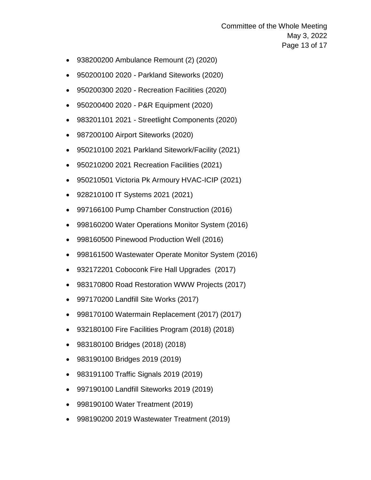Committee of the Whole Meeting May 3, 2022 Page 13 of 17

- 938200200 Ambulance Remount (2) (2020)
- 950200100 2020 Parkland Siteworks (2020)
- 950200300 2020 Recreation Facilities (2020)
- 950200400 2020 P&R Equipment (2020)
- 983201101 2021 Streetlight Components (2020)
- 987200100 Airport Siteworks (2020)
- 950210100 2021 Parkland Sitework/Facility (2021)
- 950210200 2021 Recreation Facilities (2021)
- 950210501 Victoria Pk Armoury HVAC-ICIP (2021)
- 928210100 IT Systems 2021 (2021)
- 997166100 Pump Chamber Construction (2016)
- 998160200 Water Operations Monitor System (2016)
- 998160500 Pinewood Production Well (2016)
- 998161500 Wastewater Operate Monitor System (2016)
- 932172201 Coboconk Fire Hall Upgrades (2017)
- 983170800 Road Restoration WWW Projects (2017)
- 997170200 Landfill Site Works (2017)
- 998170100 Watermain Replacement (2017) (2017)
- 932180100 Fire Facilities Program (2018) (2018)
- 983180100 Bridges (2018) (2018)
- 983190100 Bridges 2019 (2019)
- 983191100 Traffic Signals 2019 (2019)
- 997190100 Landfill Siteworks 2019 (2019)
- 998190100 Water Treatment (2019)
- 998190200 2019 Wastewater Treatment (2019)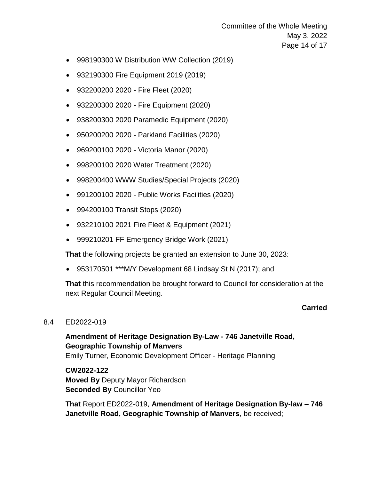Committee of the Whole Meeting May 3, 2022 Page 14 of 17

- 998190300 W Distribution WW Collection (2019)
- 932190300 Fire Equipment 2019 (2019)
- 932200200 2020 Fire Fleet (2020)
- 932200300 2020 Fire Equipment (2020)
- 938200300 2020 Paramedic Equipment (2020)
- 950200200 2020 Parkland Facilities (2020)
- 969200100 2020 Victoria Manor (2020)
- 998200100 2020 Water Treatment (2020)
- 998200400 WWW Studies/Special Projects (2020)
- 991200100 2020 Public Works Facilities (2020)
- 994200100 Transit Stops (2020)
- 932210100 2021 Fire Fleet & Equipment (2021)
- 999210201 FF Emergency Bridge Work (2021)

**That** the following projects be granted an extension to June 30, 2023:

953170501 \*\*\*M/Y Development 68 Lindsay St N (2017); and

**That** this recommendation be brought forward to Council for consideration at the next Regular Council Meeting.

#### **Carried**

#### 8.4 ED2022-019

# **Amendment of Heritage Designation By-Law - 746 Janetville Road, Geographic Township of Manvers**

Emily Turner, Economic Development Officer - Heritage Planning

**CW2022-122 Moved By** Deputy Mayor Richardson **Seconded By** Councillor Yeo

**That** Report ED2022-019, **Amendment of Heritage Designation By-law – 746 Janetville Road, Geographic Township of Manvers**, be received;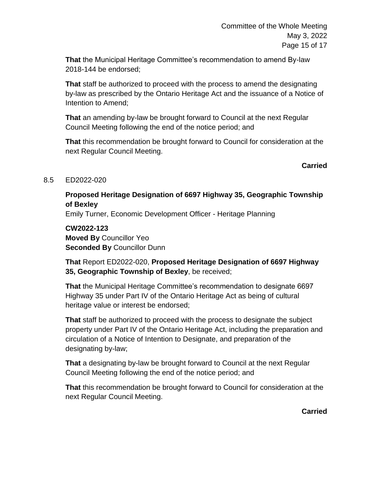**That** the Municipal Heritage Committee's recommendation to amend By-law 2018-144 be endorsed;

**That** staff be authorized to proceed with the process to amend the designating by-law as prescribed by the Ontario Heritage Act and the issuance of a Notice of Intention to Amend;

**That** an amending by-law be brought forward to Council at the next Regular Council Meeting following the end of the notice period; and

**That** this recommendation be brought forward to Council for consideration at the next Regular Council Meeting.

# **Carried**

# 8.5 ED2022-020

# **Proposed Heritage Designation of 6697 Highway 35, Geographic Township of Bexley**

Emily Turner, Economic Development Officer - Heritage Planning

**CW2022-123 Moved By** Councillor Yeo **Seconded By** Councillor Dunn

**That** Report ED2022-020, **Proposed Heritage Designation of 6697 Highway 35, Geographic Township of Bexley**, be received;

**That** the Municipal Heritage Committee's recommendation to designate 6697 Highway 35 under Part IV of the Ontario Heritage Act as being of cultural heritage value or interest be endorsed;

**That** staff be authorized to proceed with the process to designate the subject property under Part IV of the Ontario Heritage Act, including the preparation and circulation of a Notice of Intention to Designate, and preparation of the designating by-law;

**That** a designating by-law be brought forward to Council at the next Regular Council Meeting following the end of the notice period; and

**That** this recommendation be brought forward to Council for consideration at the next Regular Council Meeting.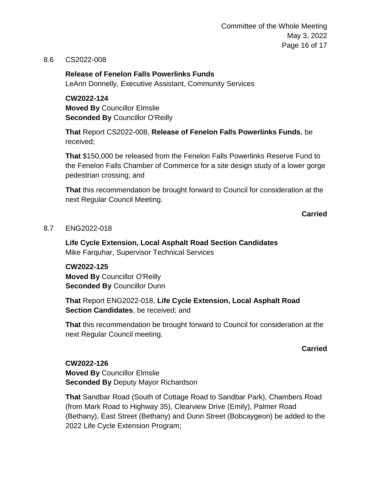Committee of the Whole Meeting May 3, 2022 Page 16 of 17

#### 8.6 CS2022-008

#### **Release of Fenelon Falls Powerlinks Funds**

LeAnn Donnelly, Executive Assistant, Community Services

**CW2022-124 Moved By** Councillor Elmslie **Seconded By** Councillor O'Reilly

**That** Report CS2022-008, **Release of Fenelon Falls Powerlinks Funds**, be received;

**That** \$150,000 be released from the Fenelon Falls Powerlinks Reserve Fund to the Fenelon Falls Chamber of Commerce for a site design study of a lower gorge pedestrian crossing; and

**That** this recommendation be brought forward to Council for consideration at the next Regular Council Meeting.

**Carried**

#### 8.7 ENG2022-018

**Life Cycle Extension, Local Asphalt Road Section Candidates** Mike Farquhar, Supervisor Technical Services

**CW2022-125 Moved By** Councillor O'Reilly **Seconded By** Councillor Dunn

**That** Report ENG2022-018, **Life Cycle Extension, Local Asphalt Road Section Candidates**, be received; and

**That** this recommendation be brought forward to Council for consideration at the next Regular Council meeting.

**Carried**

**CW2022-126 Moved By** Councillor Elmslie **Seconded By** Deputy Mayor Richardson

**That** Sandbar Road (South of Cottage Road to Sandbar Park), Chambers Road (from Mark Road to Highway 35), Clearview Drive (Emily), Palmer Road (Bethany), East Street (Bethany) and Dunn Street (Bobcaygeon) be added to the 2022 Life Cycle Extension Program;